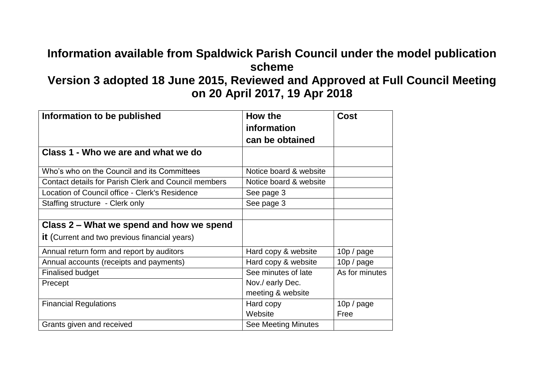## **Information available from Spaldwick Parish Council under the model publication scheme**

## **Version 3 adopted 18 June 2015, Reviewed and Approved at Full Council Meeting on 20 April 2017, 19 Apr 2018**

| Information to be published                                 | How the<br>information<br>can be obtained | Cost           |
|-------------------------------------------------------------|-------------------------------------------|----------------|
| Class 1 - Who we are and what we do                         |                                           |                |
| Who's who on the Council and its Committees                 | Notice board & website                    |                |
| <b>Contact details for Parish Clerk and Council members</b> | Notice board & website                    |                |
| Location of Council office - Clerk's Residence              | See page 3                                |                |
| Staffing structure - Clerk only                             | See page 3                                |                |
|                                                             |                                           |                |
| Class 2 – What we spend and how we spend                    |                                           |                |
| <b>it</b> (Current and two previous financial years)        |                                           |                |
| Annual return form and report by auditors                   | Hard copy & website                       | 10p / page     |
| Annual accounts (receipts and payments)                     | Hard copy & website                       | 10p / page     |
| <b>Finalised budget</b>                                     | See minutes of late                       | As for minutes |
| Precept                                                     | Nov./ early Dec.                          |                |
|                                                             | meeting & website                         |                |
| <b>Financial Regulations</b>                                | Hard copy                                 | 10p / page     |
|                                                             | Website                                   | Free           |
| Grants given and received                                   | <b>See Meeting Minutes</b>                |                |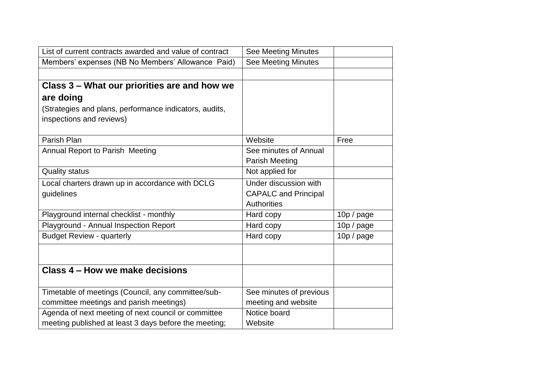| List of current contracts awarded and value of contract | <b>See Meeting Minutes</b>  |            |
|---------------------------------------------------------|-----------------------------|------------|
| Members' expenses (NB No Members' Allowance Paid)       | <b>See Meeting Minutes</b>  |            |
|                                                         |                             |            |
| Class 3 – What our priorities are and how we            |                             |            |
| are doing                                               |                             |            |
| (Strategies and plans, performance indicators, audits,  |                             |            |
| inspections and reviews)                                |                             |            |
|                                                         |                             |            |
| Parish Plan                                             | Website                     | Free       |
| Annual Report to Parish Meeting                         | See minutes of Annual       |            |
|                                                         | Parish Meeting              |            |
| <b>Quality status</b>                                   | Not applied for             |            |
| Local charters drawn up in accordance with DCLG         | Under discussion with       |            |
| guidelines                                              | <b>CAPALC and Principal</b> |            |
|                                                         | <b>Authorities</b>          |            |
| Playground internal checklist - monthly                 | Hard copy                   | 10p / page |
| Playground - Annual Inspection Report                   | Hard copy                   | 10p / page |
| <b>Budget Review - quarterly</b>                        | Hard copy                   | 10p / page |
|                                                         |                             |            |
|                                                         |                             |            |
| Class 4 – How we make decisions                         |                             |            |
|                                                         |                             |            |
| Timetable of meetings (Council, any committee/sub-      | See minutes of previous     |            |
| committee meetings and parish meetings)                 | meeting and website         |            |
| Agenda of next meeting of next council or committee     | Notice board                |            |
| meeting published at least 3 days before the meeting;   | Website                     |            |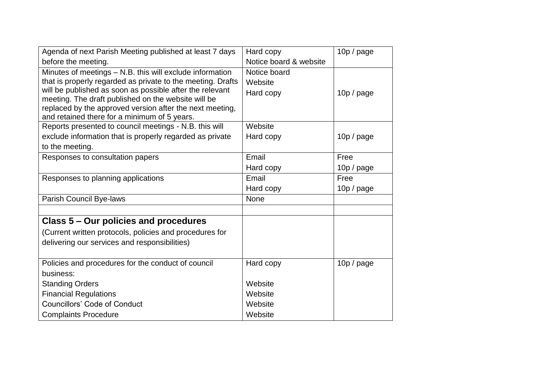| Agenda of next Parish Meeting published at least 7 days                                                         | Hard copy              | $10p$ / page |
|-----------------------------------------------------------------------------------------------------------------|------------------------|--------------|
| before the meeting.                                                                                             | Notice board & website |              |
| Minutes of meetings - N.B. this will exclude information                                                        | Notice board           |              |
| that is properly regarded as private to the meeting. Drafts                                                     | Website                |              |
| will be published as soon as possible after the relevant                                                        | Hard copy              | 10p / page   |
| meeting. The draft published on the website will be<br>replaced by the approved version after the next meeting, |                        |              |
| and retained there for a minimum of 5 years.                                                                    |                        |              |
| Reports presented to council meetings - N.B. this will                                                          | Website                |              |
| exclude information that is properly regarded as private                                                        | Hard copy              | 10p / page   |
| to the meeting.                                                                                                 |                        |              |
| Responses to consultation papers                                                                                | Email                  | Free         |
|                                                                                                                 | Hard copy              | 10p / page   |
| Responses to planning applications                                                                              | Email                  | Free         |
|                                                                                                                 | Hard copy              | 10p / page   |
| Parish Council Bye-laws                                                                                         | None                   |              |
|                                                                                                                 |                        |              |
| Class 5 – Our policies and procedures                                                                           |                        |              |
| (Current written protocols, policies and procedures for                                                         |                        |              |
| delivering our services and responsibilities)                                                                   |                        |              |
|                                                                                                                 |                        |              |
| Policies and procedures for the conduct of council                                                              | Hard copy              | 10p / page   |
| business:                                                                                                       |                        |              |
| <b>Standing Orders</b>                                                                                          | Website                |              |
| <b>Financial Regulations</b>                                                                                    | Website                |              |
| <b>Councillors' Code of Conduct</b>                                                                             | Website                |              |
| <b>Complaints Procedure</b>                                                                                     | Website                |              |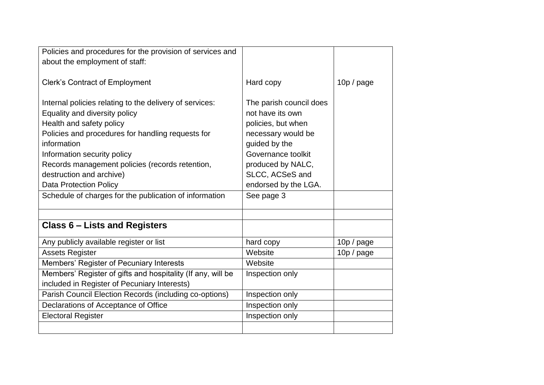| Policies and procedures for the provision of services and   |                         |            |
|-------------------------------------------------------------|-------------------------|------------|
| about the employment of staff:                              |                         |            |
|                                                             |                         |            |
| <b>Clerk's Contract of Employment</b>                       | Hard copy               | 10p / page |
|                                                             |                         |            |
| Internal policies relating to the delivery of services:     | The parish council does |            |
| Equality and diversity policy                               | not have its own        |            |
| Health and safety policy                                    | policies, but when      |            |
| Policies and procedures for handling requests for           | necessary would be      |            |
| information                                                 | guided by the           |            |
| Information security policy                                 | Governance toolkit      |            |
| Records management policies (records retention,             | produced by NALC,       |            |
| destruction and archive)                                    | SLCC, ACSeS and         |            |
| <b>Data Protection Policy</b>                               | endorsed by the LGA.    |            |
| Schedule of charges for the publication of information      | See page 3              |            |
|                                                             |                         |            |
|                                                             |                         |            |
| <b>Class 6 - Lists and Registers</b>                        |                         |            |
| Any publicly available register or list                     | hard copy               | 10p / page |
| <b>Assets Register</b>                                      | Website                 | 10p / page |
| Members' Register of Pecuniary Interests                    | Website                 |            |
| Members' Register of gifts and hospitality (If any, will be | Inspection only         |            |
| included in Register of Pecuniary Interests)                |                         |            |
| Parish Council Election Records (including co-options)      | Inspection only         |            |
| Declarations of Acceptance of Office                        | Inspection only         |            |
| <b>Electoral Register</b>                                   | Inspection only         |            |
|                                                             |                         |            |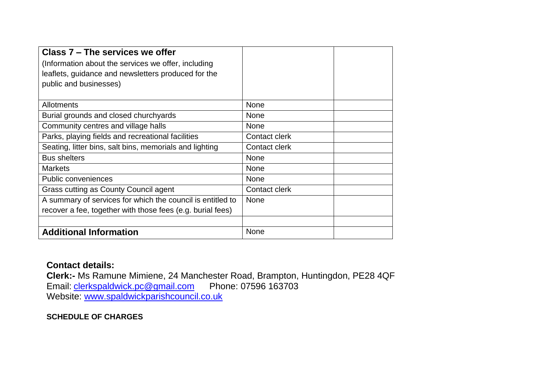| Class 7 - The services we offer                            |               |
|------------------------------------------------------------|---------------|
| (Information about the services we offer, including        |               |
| leaflets, guidance and newsletters produced for the        |               |
| public and businesses)                                     |               |
|                                                            |               |
| <b>Allotments</b>                                          | None          |
| Burial grounds and closed churchyards                      | None          |
| Community centres and village halls                        | <b>None</b>   |
| Parks, playing fields and recreational facilities          | Contact clerk |
| Seating, litter bins, salt bins, memorials and lighting    | Contact clerk |
| <b>Bus shelters</b>                                        | <b>None</b>   |
| <b>Markets</b>                                             | None          |
| <b>Public conveniences</b>                                 | None          |
| Grass cutting as County Council agent                      | Contact clerk |
| A summary of services for which the council is entitled to | <b>None</b>   |
| recover a fee, together with those fees (e.g. burial fees) |               |
|                                                            |               |
| <b>Additional Information</b>                              | None          |

## **Contact details:**

**Clerk:-** Ms Ramune Mimiene, 24 Manchester Road, Brampton, Huntingdon, PE28 4QF Email: [clerkspaldwick.pc@gmail.com](mailto:clerkspaldwick.pc@gmail.com) Phone: 07596 163703 Website: [www.spaldwickparishcouncil.co.uk](http://www.spaldwickparishcouncil.co.uk/)

## **SCHEDULE OF CHARGES**